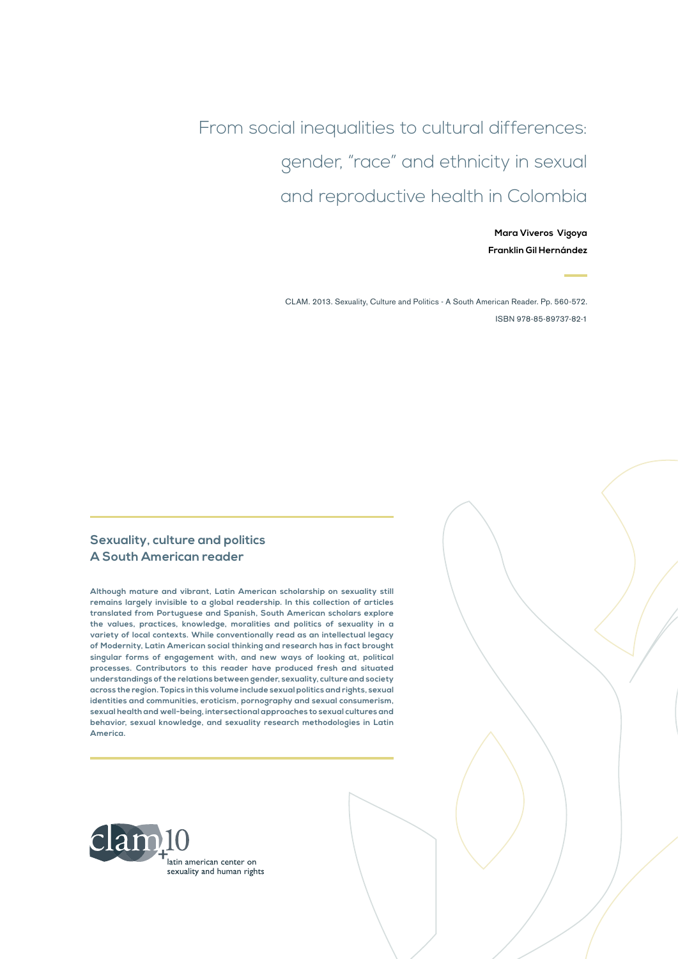From social inequalities to cultural differences: gender, "race" and ethnicity in sexual and reproductive health in Colombia

> **Mara Viveros Vigoya Franklin Gil Hernández**

CLAM. 2013. Sexuality, Culture and Politics - A South American Reader. Pp. 560-572. ISBN 978-85-89737-82-1

#### **Sexuality, culture and politics A South American reader**

**Although mature and vibrant, Latin American scholarship on sexuality still remains largely invisible to a global readership. In this collection of articles translated from Portuguese and Spanish, South American scholars explore the values, practices, knowledge, moralities and politics of sexuality in a variety of local contexts. While conventionally read as an intellectual legacy of Modernity, Latin American social thinking and research has in fact brought singular forms of engagement with, and new ways of looking at, political processes. Contributors to this reader have produced fresh and situated understandings of the relations between gender, sexuality, culture and society across the region. Topics in this volume include sexual politics and rights, sexual identities and communities, eroticism, pornography and sexual consumerism, sexual health and well-being, intersectional approaches to sexual cultures and behavior, sexual knowledge, and sexuality research methodologies in Latin America.**

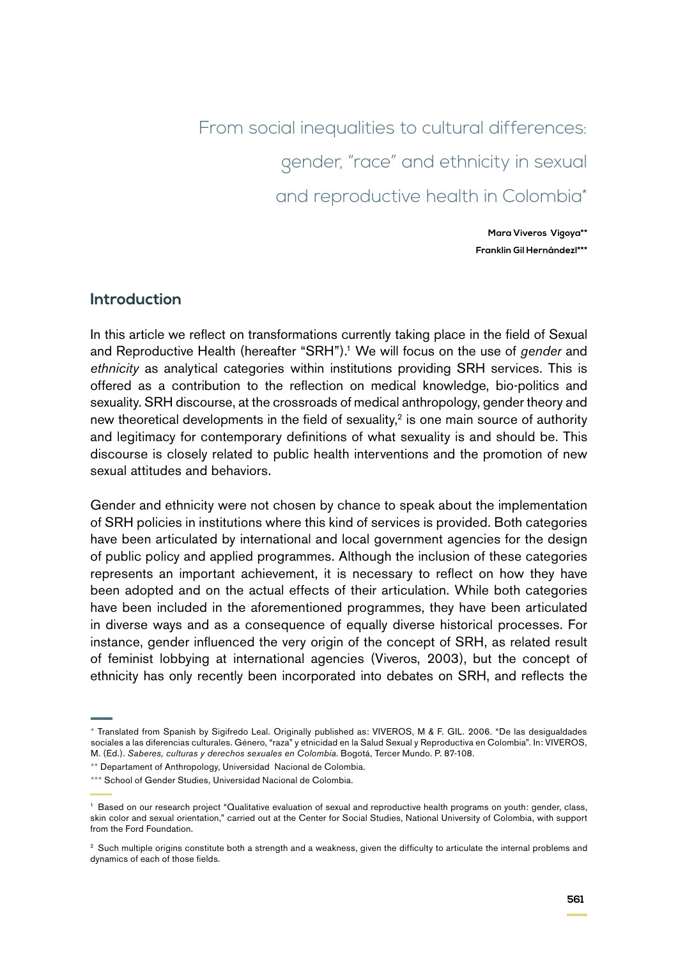From social inequalities to cultural differences: gender, "race" and ethnicity in sexual and reproductive health in Colombia\*

> **Mara Viveros Vigoya\*\* Franklin Gil Hernándezl\*\*\***

#### **Introduction**

In this article we reflect on transformations currently taking place in the field of Sexual and Reproductive Health (hereafter "SRH").<sup>1</sup> We will focus on the use of *gender* and *ethnicity* as analytical categories within institutions providing SRH services. This is offered as a contribution to the reflection on medical knowledge, bio-politics and sexuality. SRH discourse, at the crossroads of medical anthropology, gender theory and new theoretical developments in the field of sexuality, $2$  is one main source of authority and legitimacy for contemporary definitions of what sexuality is and should be. This discourse is closely related to public health interventions and the promotion of new sexual attitudes and behaviors.

Gender and ethnicity were not chosen by chance to speak about the implementation of SRH policies in institutions where this kind of services is provided. Both categories have been articulated by international and local government agencies for the design of public policy and applied programmes. Although the inclusion of these categories represents an important achievement, it is necessary to reflect on how they have been adopted and on the actual effects of their articulation. While both categories have been included in the aforementioned programmes, they have been articulated in diverse ways and as a consequence of equally diverse historical processes. For instance, gender influenced the very origin of the concept of SRH, as related result of feminist lobbying at international agencies (Viveros, 2003), but the concept of ethnicity has only recently been incorporated into debates on SRH, and reflects the

<sup>\*</sup> Translated from Spanish by Sigifredo Leal. Originally published as: VIVEROS, M & F. GIL. 2006. "De las desigualdades sociales a las diferencias culturales. Género, "raza" y etnicidad en la Salud Sexual y Reproductiva en Colombia". In: VIVEROS, M. (Ed.). *Saberes, culturas y derechos sexuales en Colombia*. Bogotá, Tercer Mundo. P. 87-108.

<sup>\*\*</sup> Departament of Anthropology, Universidad Nacional de Colombia.

<sup>\*\*\*</sup> School of Gender Studies, Universidad Nacional de Colombia.

<sup>&</sup>lt;sup>1</sup> Based on our research project "Qualitative evaluation of sexual and reproductive health programs on youth: gender, class, skin color and sexual orientation," carried out at the Center for Social Studies, National University of Colombia, with support from the Ford Foundation.

<sup>&</sup>lt;sup>2</sup> Such multiple origins constitute both a strength and a weakness, given the difficulty to articulate the internal problems and dynamics of each of those fields.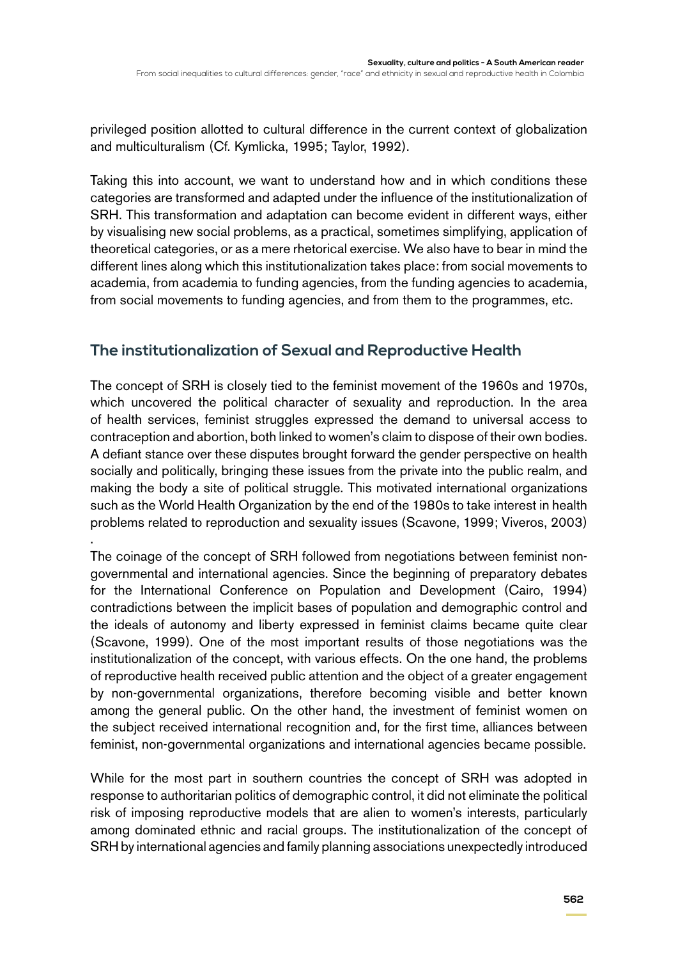privileged position allotted to cultural difference in the current context of globalization and multiculturalism (Cf. Kymlicka, 1995; Taylor, 1992).

Taking this into account, we want to understand how and in which conditions these categories are transformed and adapted under the influence of the institutionalization of SRH. This transformation and adaptation can become evident in different ways, either by visualising new social problems, as a practical, sometimes simplifying, application of theoretical categories, or as a mere rhetorical exercise. We also have to bear in mind the different lines along which this institutionalization takes place: from social movements to academia, from academia to funding agencies, from the funding agencies to academia, from social movements to funding agencies, and from them to the programmes, etc.

### **The institutionalization of Sexual and Reproductive Health**

The concept of SRH is closely tied to the feminist movement of the 1960s and 1970s, which uncovered the political character of sexuality and reproduction. In the area of health services, feminist struggles expressed the demand to universal access to contraception and abortion, both linked to women's claim to dispose of their own bodies. A defiant stance over these disputes brought forward the gender perspective on health socially and politically, bringing these issues from the private into the public realm, and making the body a site of political struggle. This motivated international organizations such as the World Health Organization by the end of the 1980s to take interest in health problems related to reproduction and sexuality issues (Scavone, 1999; Viveros, 2003) .

The coinage of the concept of SRH followed from negotiations between feminist nongovernmental and international agencies. Since the beginning of preparatory debates for the International Conference on Population and Development (Cairo, 1994) contradictions between the implicit bases of population and demographic control and the ideals of autonomy and liberty expressed in feminist claims became quite clear (Scavone, 1999). One of the most important results of those negotiations was the institutionalization of the concept, with various effects. On the one hand, the problems of reproductive health received public attention and the object of a greater engagement by non-governmental organizations, therefore becoming visible and better known among the general public. On the other hand, the investment of feminist women on the subject received international recognition and, for the first time, alliances between feminist, non-governmental organizations and international agencies became possible.

While for the most part in southern countries the concept of SRH was adopted in response to authoritarian politics of demographic control, it did not eliminate the political risk of imposing reproductive models that are alien to women's interests, particularly among dominated ethnic and racial groups. The institutionalization of the concept of SRH by international agencies and family planning associations unexpectedly introduced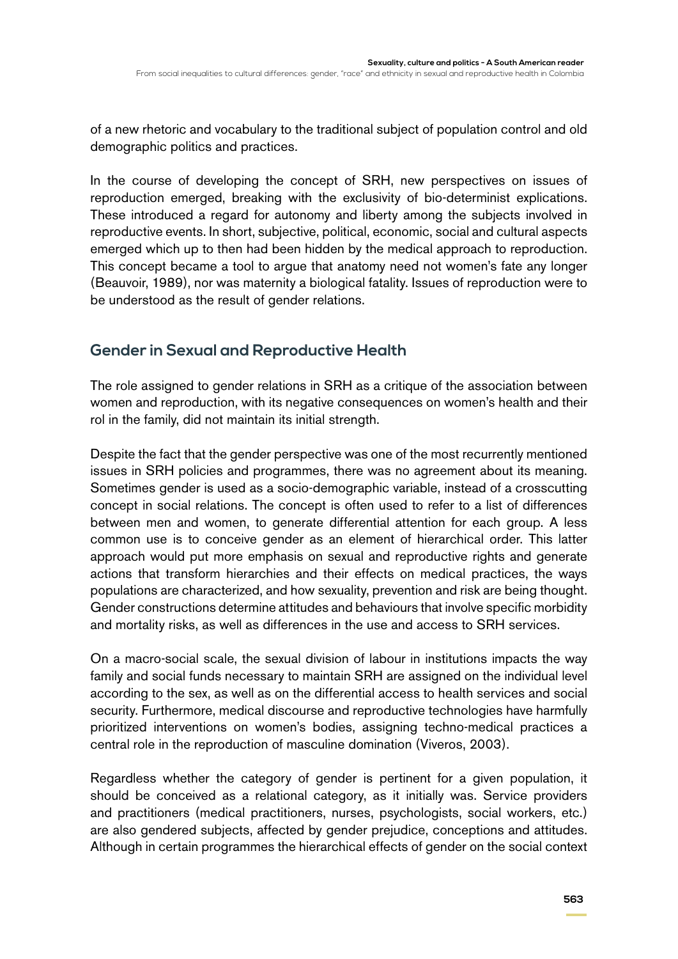of a new rhetoric and vocabulary to the traditional subject of population control and old demographic politics and practices.

In the course of developing the concept of SRH, new perspectives on issues of reproduction emerged, breaking with the exclusivity of bio-determinist explications. These introduced a regard for autonomy and liberty among the subjects involved in reproductive events. In short, subjective, political, economic, social and cultural aspects emerged which up to then had been hidden by the medical approach to reproduction. This concept became a tool to argue that anatomy need not women's fate any longer (Beauvoir, 1989), nor was maternity a biological fatality. Issues of reproduction were to be understood as the result of gender relations.

### **Gender in Sexual and Reproductive Health**

The role assigned to gender relations in SRH as a critique of the association between women and reproduction, with its negative consequences on women's health and their rol in the family, did not maintain its initial strength.

Despite the fact that the gender perspective was one of the most recurrently mentioned issues in SRH policies and programmes, there was no agreement about its meaning. Sometimes gender is used as a socio-demographic variable, instead of a crosscutting concept in social relations. The concept is often used to refer to a list of differences between men and women, to generate differential attention for each group. A less common use is to conceive gender as an element of hierarchical order. This latter approach would put more emphasis on sexual and reproductive rights and generate actions that transform hierarchies and their effects on medical practices, the ways populations are characterized, and how sexuality, prevention and risk are being thought. Gender constructions determine attitudes and behaviours that involve specific morbidity and mortality risks, as well as differences in the use and access to SRH services.

On a macro-social scale, the sexual division of labour in institutions impacts the way family and social funds necessary to maintain SRH are assigned on the individual level according to the sex, as well as on the differential access to health services and social security. Furthermore, medical discourse and reproductive technologies have harmfully prioritized interventions on women's bodies, assigning techno-medical practices a central role in the reproduction of masculine domination (Viveros, 2003).

Regardless whether the category of gender is pertinent for a given population, it should be conceived as a relational category, as it initially was. Service providers and practitioners (medical practitioners, nurses, psychologists, social workers, etc.) are also gendered subjects, affected by gender prejudice, conceptions and attitudes. Although in certain programmes the hierarchical effects of gender on the social context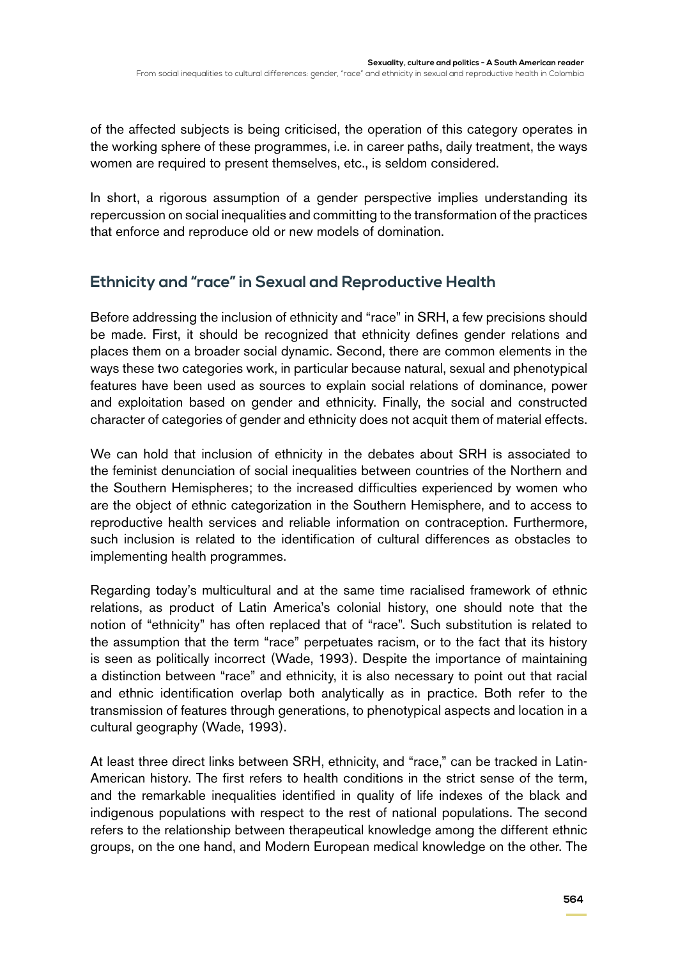of the affected subjects is being criticised, the operation of this category operates in the working sphere of these programmes, i.e. in career paths, daily treatment, the ways women are required to present themselves, etc., is seldom considered.

In short, a rigorous assumption of a gender perspective implies understanding its repercussion on social inequalities and committing to the transformation of the practices that enforce and reproduce old or new models of domination.

# **Ethnicity and "race" in Sexual and Reproductive Health**

Before addressing the inclusion of ethnicity and "race" in SRH, a few precisions should be made. First, it should be recognized that ethnicity defines gender relations and places them on a broader social dynamic. Second, there are common elements in the ways these two categories work, in particular because natural, sexual and phenotypical features have been used as sources to explain social relations of dominance, power and exploitation based on gender and ethnicity. Finally, the social and constructed character of categories of gender and ethnicity does not acquit them of material effects.

We can hold that inclusion of ethnicity in the debates about SRH is associated to the feminist denunciation of social inequalities between countries of the Northern and the Southern Hemispheres; to the increased difficulties experienced by women who are the object of ethnic categorization in the Southern Hemisphere, and to access to reproductive health services and reliable information on contraception. Furthermore, such inclusion is related to the identification of cultural differences as obstacles to implementing health programmes.

Regarding today's multicultural and at the same time racialised framework of ethnic relations, as product of Latin America's colonial history, one should note that the notion of "ethnicity" has often replaced that of "race". Such substitution is related to the assumption that the term "race" perpetuates racism, or to the fact that its history is seen as politically incorrect (Wade, 1993). Despite the importance of maintaining a distinction between "race" and ethnicity, it is also necessary to point out that racial and ethnic identification overlap both analytically as in practice. Both refer to the transmission of features through generations, to phenotypical aspects and location in a cultural geography (Wade, 1993).

At least three direct links between SRH, ethnicity, and "race," can be tracked in Latin-American history. The first refers to health conditions in the strict sense of the term, and the remarkable inequalities identified in quality of life indexes of the black and indigenous populations with respect to the rest of national populations. The second refers to the relationship between therapeutical knowledge among the different ethnic groups, on the one hand, and Modern European medical knowledge on the other. The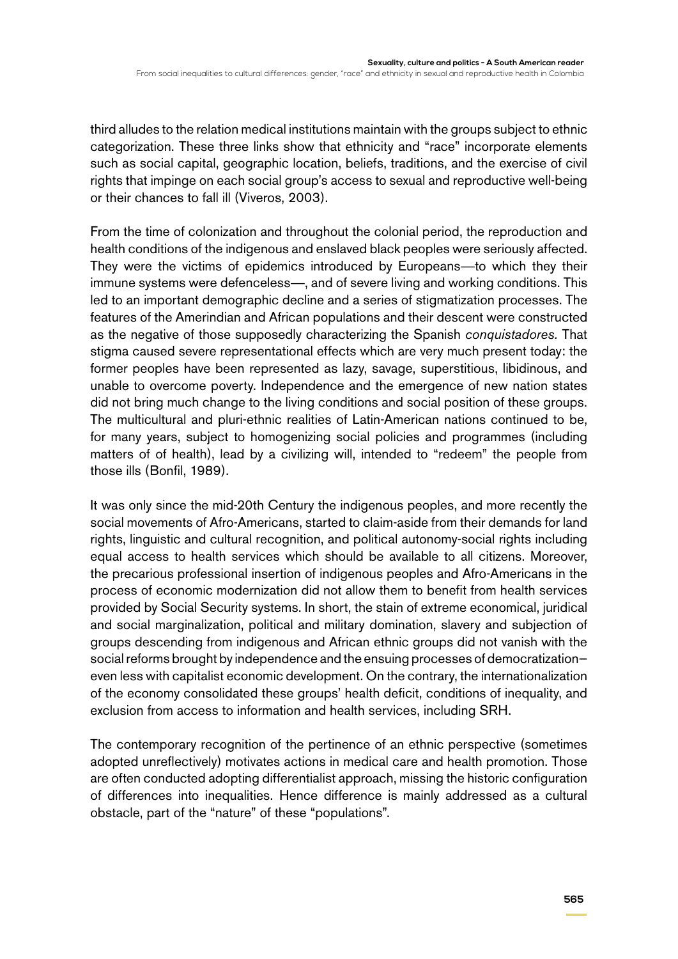third alludes to the relation medical institutions maintain with the groups subject to ethnic categorization. These three links show that ethnicity and "race" incorporate elements such as social capital, geographic location, beliefs, traditions, and the exercise of civil rights that impinge on each social group's access to sexual and reproductive well-being or their chances to fall ill (Viveros, 2003).

From the time of colonization and throughout the colonial period, the reproduction and health conditions of the indigenous and enslaved black peoples were seriously affected. They were the victims of epidemics introduced by Europeans—to which they their immune systems were defenceless—, and of severe living and working conditions. This led to an important demographic decline and a series of stigmatization processes. The features of the Amerindian and African populations and their descent were constructed as the negative of those supposedly characterizing the Spanish *conquistadores.* That stigma caused severe representational effects which are very much present today: the former peoples have been represented as lazy, savage, superstitious, libidinous, and unable to overcome poverty. Independence and the emergence of new nation states did not bring much change to the living conditions and social position of these groups. The multicultural and pluri-ethnic realities of Latin-American nations continued to be, for many years, subject to homogenizing social policies and programmes (including matters of of health), lead by a civilizing will, intended to "redeem" the people from those ills (Bonfil, 1989).

It was only since the mid-20th Century the indigenous peoples, and more recently the social movements of Afro-Americans, started to claim-aside from their demands for land rights, linguistic and cultural recognition, and political autonomy-social rights including equal access to health services which should be available to all citizens. Moreover, the precarious professional insertion of indigenous peoples and Afro-Americans in the process of economic modernization did not allow them to benefit from health services provided by Social Security systems. In short, the stain of extreme economical, juridical and social marginalization, political and military domination, slavery and subjection of groups descending from indigenous and African ethnic groups did not vanish with the social reforms brought by independence and the ensuing processes of democratization even less with capitalist economic development. On the contrary, the internationalization of the economy consolidated these groups' health deficit, conditions of inequality, and exclusion from access to information and health services, including SRH.

The contemporary recognition of the pertinence of an ethnic perspective (sometimes adopted unreflectively) motivates actions in medical care and health promotion. Those are often conducted adopting differentialist approach, missing the historic configuration of differences into inequalities. Hence difference is mainly addressed as a cultural obstacle, part of the "nature" of these "populations".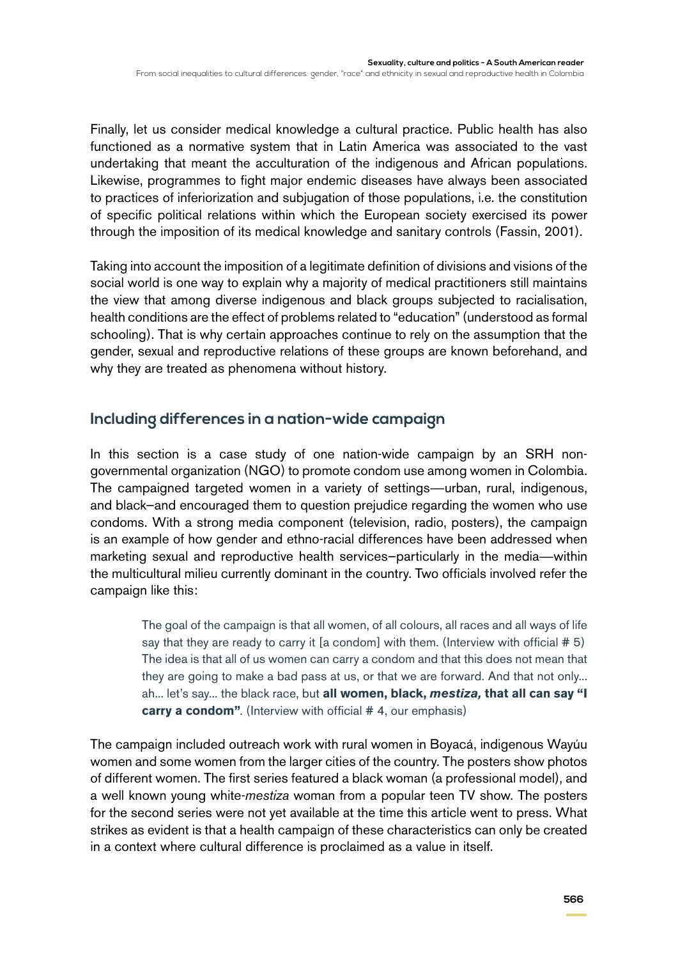Finally, let us consider medical knowledge a cultural practice. Public health has also functioned as a normative system that in Latin America was associated to the vast undertaking that meant the acculturation of the indigenous and African populations. Likewise, programmes to fight major endemic diseases have always been associated to practices of inferiorization and subjugation of those populations, i.e. the constitution of specific political relations within which the European society exercised its power through the imposition of its medical knowledge and sanitary controls (Fassin, 2001).

Taking into account the imposition of a legitimate definition of divisions and visions of the social world is one way to explain why a majority of medical practitioners still maintains the view that among diverse indigenous and black groups subjected to racialisation, health conditions are the effect of problems related to "education" (understood as formal schooling). That is why certain approaches continue to rely on the assumption that the gender, sexual and reproductive relations of these groups are known beforehand, and why they are treated as phenomena without history.

# **Including differences in a nation-wide campaign**

In this section is a case study of one nation-wide campaign by an SRH nongovernmental organization (NGO) to promote condom use among women in Colombia. The campaigned targeted women in a variety of settings—urban, rural, indigenous, and black—and encouraged them to question prejudice regarding the women who use condoms. With a strong media component (television, radio, posters), the campaign is an example of how gender and ethno-racial differences have been addressed when marketing sexual and reproductive health services—particularly in the media—within the multicultural milieu currently dominant in the country. Two officials involved refer the campaign like this:

> The goal of the campaign is that all women, of all colours, all races and all ways of life say that they are ready to carry it [a condom] with them. (Interview with official  $# 5$ ) The idea is that all of us women can carry a condom and that this does not mean that they are going to make a bad pass at us, or that we are forward. And that not only... ah... let's say... the black race, but **all women, black,** *mestiza,* **that all can say "I carry a condom".** (Interview with official #4, our emphasis)

The campaign included outreach work with rural women in Boyacá, indigenous Wayúu women and some women from the larger cities of the country. The posters show photos of different women. The first series featured a black woman (a professional model), and a well known young white-*mestiza* woman from a popular teen TV show. The posters for the second series were not yet available at the time this article went to press. What strikes as evident is that a health campaign of these characteristics can only be created in a context where cultural difference is proclaimed as a value in itself.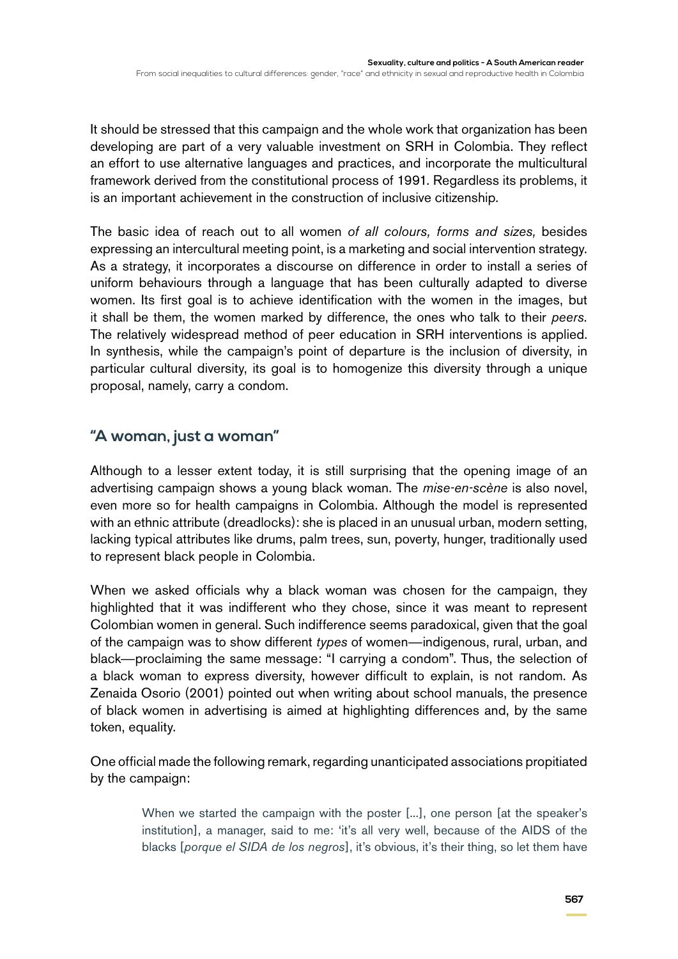It should be stressed that this campaign and the whole work that organization has been developing are part of a very valuable investment on SRH in Colombia. They reflect an effort to use alternative languages and practices, and incorporate the multicultural framework derived from the constitutional process of 1991. Regardless its problems, it is an important achievement in the construction of inclusive citizenship.

The basic idea of reach out to all women *of all colours, forms and sizes,* besides expressing an intercultural meeting point, is a marketing and social intervention strategy. As a strategy, it incorporates a discourse on difference in order to install a series of uniform behaviours through a language that has been culturally adapted to diverse women. Its first goal is to achieve identification with the women in the images, but it shall be them, the women marked by difference, the ones who talk to their *peers.* The relatively widespread method of peer education in SRH interventions is applied. In synthesis, while the campaign's point of departure is the inclusion of diversity, in particular cultural diversity, its goal is to homogenize this diversity through a unique proposal, namely, carry a condom.

# **"A woman, just a woman"**

Although to a lesser extent today, it is still surprising that the opening image of an advertising campaign shows a young black woman. The *mise-en-scène* is also novel, even more so for health campaigns in Colombia. Although the model is represented with an ethnic attribute (dreadlocks): she is placed in an unusual urban, modern setting, lacking typical attributes like drums, palm trees, sun, poverty, hunger, traditionally used to represent black people in Colombia.

When we asked officials why a black woman was chosen for the campaign, they highlighted that it was indifferent who they chose, since it was meant to represent Colombian women in general. Such indifference seems paradoxical, given that the goal of the campaign was to show different *types* of women—indigenous, rural, urban, and black—proclaiming the same message: "I carrying a condom". Thus, the selection of a black woman to express diversity, however difficult to explain, is not random. As Zenaida Osorio (2001) pointed out when writing about school manuals, the presence of black women in advertising is aimed at highlighting differences and, by the same token, equality.

One official made the following remark, regarding unanticipated associations propitiated by the campaign:

> When we started the campaign with the poster [...], one person [at the speaker's institution], a manager, said to me: 'it's all very well, because of the AIDS of the blacks [*porque el SIDA de los negros*], it's obvious, it's their thing, so let them have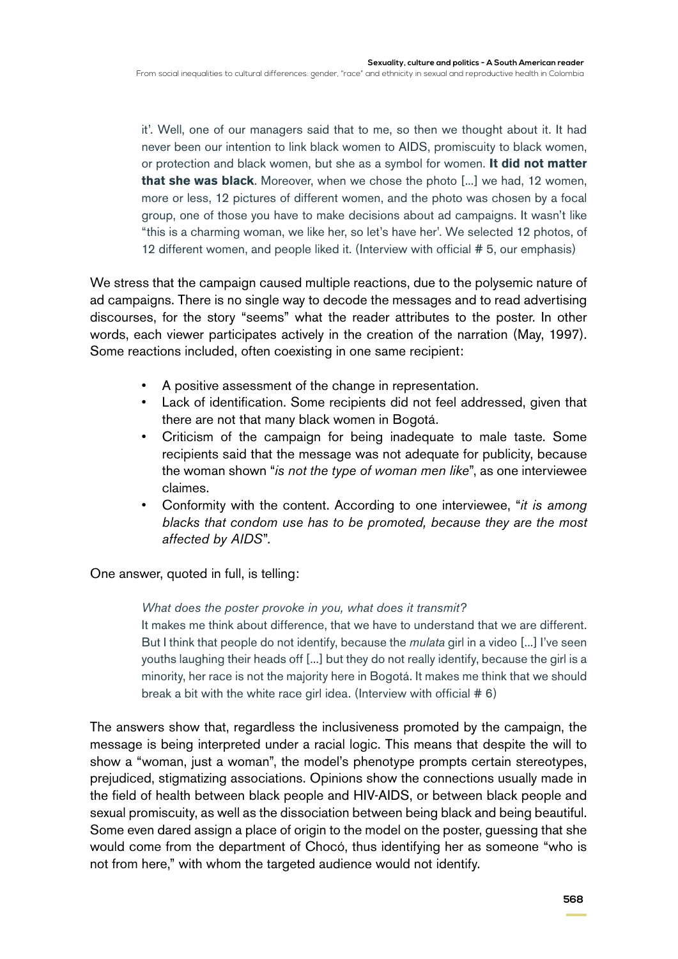it'. Well, one of our managers said that to me, so then we thought about it. It had never been our intention to link black women to AIDS, promiscuity to black women, or protection and black women, but she as a symbol for women. **It did not matter that she was black**. Moreover, when we chose the photo [...] we had, 12 women, more or less, 12 pictures of different women, and the photo was chosen by a focal group, one of those you have to make decisions about ad campaigns. It wasn't like "this is a charming woman, we like her, so let's have her'. We selected 12 photos, of 12 different women, and people liked it. (Interview with official # 5, our emphasis)

We stress that the campaign caused multiple reactions, due to the polysemic nature of ad campaigns. There is no single way to decode the messages and to read advertising discourses, for the story "seems" what the reader attributes to the poster. In other words, each viewer participates actively in the creation of the narration (May, 1997). Some reactions included, often coexisting in one same recipient:

- A positive assessment of the change in representation.
- Lack of identification. Some recipients did not feel addressed, given that there are not that many black women in Bogotá.
- Criticism of the campaign for being inadequate to male taste. Some recipients said that the message was not adequate for publicity, because the woman shown "*is not the type of woman men like*", as one interviewee claimes.
- Conformity with the content. According to one interviewee, "*it is among blacks that condom use has to be promoted, because they are the most affected by AIDS*".

One answer, quoted in full, is telling:

*What does the poster provoke in you, what does it transmit?*

It makes me think about difference, that we have to understand that we are different. But I think that people do not identify, because the *mulata* girl in a video [...] I've seen youths laughing their heads off [...] but they do not really identify, because the girl is a minority, her race is not the majority here in Bogotá. It makes me think that we should break a bit with the white race girl idea. (Interview with official # 6)

The answers show that, regardless the inclusiveness promoted by the campaign, the message is being interpreted under a racial logic. This means that despite the will to show a "woman, just a woman", the model's phenotype prompts certain stereotypes, prejudiced, stigmatizing associations. Opinions show the connections usually made in the field of health between black people and HIV-AIDS, or between black people and sexual promiscuity, as well as the dissociation between being black and being beautiful. Some even dared assign a place of origin to the model on the poster, guessing that she would come from the department of Chocó, thus identifying her as someone "who is not from here," with whom the targeted audience would not identify.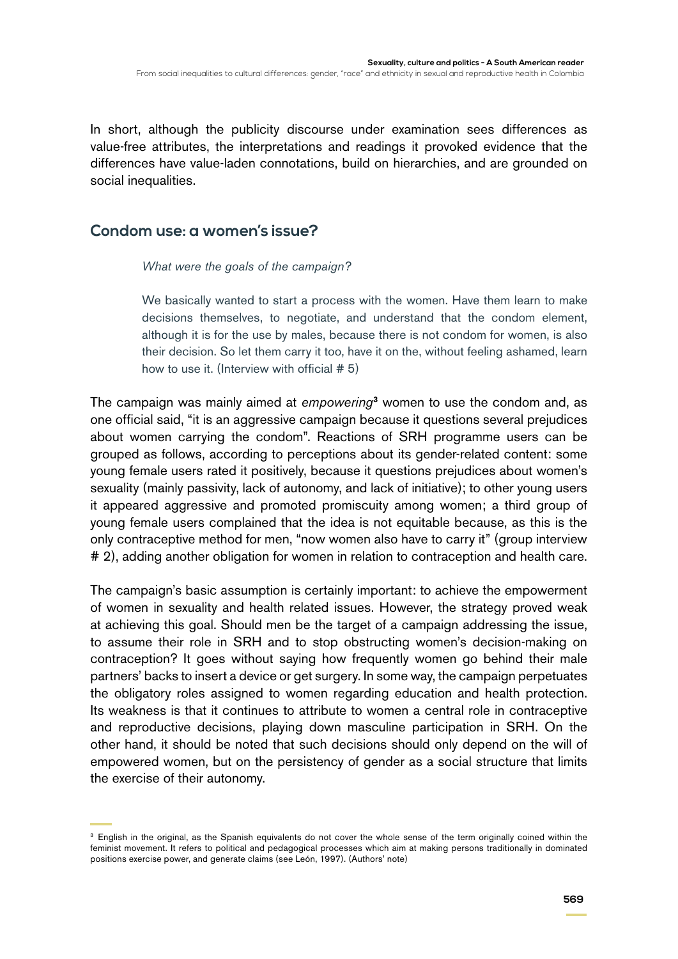In short, although the publicity discourse under examination sees differences as value-free attributes, the interpretations and readings it provoked evidence that the differences have value-laden connotations, build on hierarchies, and are grounded on social inequalities.

#### **Condom use: a women's issue?**

*What were the goals of the campaign?*

We basically wanted to start a process with the women. Have them learn to make decisions themselves, to negotiate, and understand that the condom element, although it is for the use by males, because there is not condom for women, is also their decision. So let them carry it too, have it on the, without feeling ashamed, learn how to use it. (Interview with official # 5)

The campaign was mainly aimed at *empowering***<sup>3</sup>** women to use the condom and, as one official said, "it is an aggressive campaign because it questions several prejudices about women carrying the condom". Reactions of SRH programme users can be grouped as follows, according to perceptions about its gender-related content: some young female users rated it positively, because it questions prejudices about women's sexuality (mainly passivity, lack of autonomy, and lack of initiative); to other young users it appeared aggressive and promoted promiscuity among women; a third group of young female users complained that the idea is not equitable because, as this is the only contraceptive method for men, "now women also have to carry it" (group interview # 2), adding another obligation for women in relation to contraception and health care.

The campaign's basic assumption is certainly important: to achieve the empowerment of women in sexuality and health related issues. However, the strategy proved weak at achieving this goal. Should men be the target of a campaign addressing the issue, to assume their role in SRH and to stop obstructing women's decision-making on contraception? It goes without saying how frequently women go behind their male partners' backs to insert a device or get surgery. In some way, the campaign perpetuates the obligatory roles assigned to women regarding education and health protection. Its weakness is that it continues to attribute to women a central role in contraceptive and reproductive decisions, playing down masculine participation in SRH. On the other hand, it should be noted that such decisions should only depend on the will of empowered women, but on the persistency of gender as a social structure that limits the exercise of their autonomy.

<sup>&</sup>lt;sup>3</sup> English in the original, as the Spanish equivalents do not cover the whole sense of the term originally coined within the feminist movement. It refers to political and pedagogical processes which aim at making persons traditionally in dominated positions exercise power, and generate claims (see León, 1997). (Authors' note)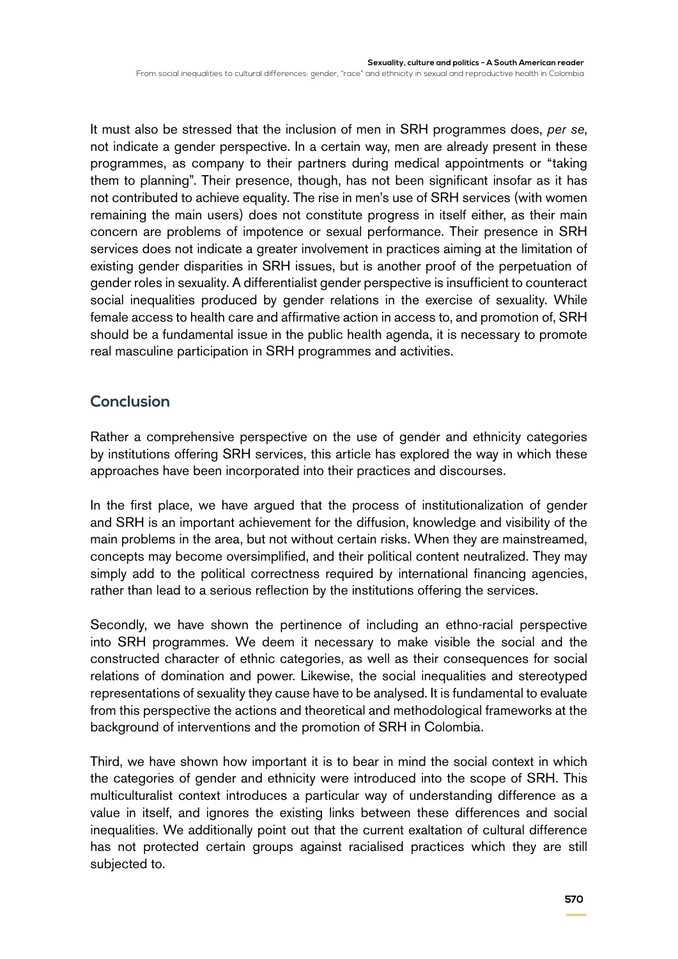It must also be stressed that the inclusion of men in SRH programmes does, *per se*, not indicate a gender perspective. In a certain way, men are already present in these programmes, as company to their partners during medical appointments or "taking them to planning". Their presence, though, has not been significant insofar as it has not contributed to achieve equality. The rise in men's use of SRH services (with women remaining the main users) does not constitute progress in itself either, as their main concern are problems of impotence or sexual performance. Their presence in SRH services does not indicate a greater involvement in practices aiming at the limitation of existing gender disparities in SRH issues, but is another proof of the perpetuation of gender roles in sexuality. A differentialist gender perspective is insufficient to counteract social inequalities produced by gender relations in the exercise of sexuality. While female access to health care and affirmative action in access to, and promotion of, SRH should be a fundamental issue in the public health agenda, it is necessary to promote real masculine participation in SRH programmes and activities.

#### **Conclusion**

Rather a comprehensive perspective on the use of gender and ethnicity categories by institutions offering SRH services, this article has explored the way in which these approaches have been incorporated into their practices and discourses.

In the first place, we have argued that the process of institutionalization of gender and SRH is an important achievement for the diffusion, knowledge and visibility of the main problems in the area, but not without certain risks. When they are mainstreamed, concepts may become oversimplified, and their political content neutralized. They may simply add to the political correctness required by international financing agencies, rather than lead to a serious reflection by the institutions offering the services.

Secondly, we have shown the pertinence of including an ethno-racial perspective into SRH programmes. We deem it necessary to make visible the social and the constructed character of ethnic categories, as well as their consequences for social relations of domination and power. Likewise, the social inequalities and stereotyped representations of sexuality they cause have to be analysed. It is fundamental to evaluate from this perspective the actions and theoretical and methodological frameworks at the background of interventions and the promotion of SRH in Colombia.

Third, we have shown how important it is to bear in mind the social context in which the categories of gender and ethnicity were introduced into the scope of SRH. This multiculturalist context introduces a particular way of understanding difference as a value in itself, and ignores the existing links between these differences and social inequalities. We additionally point out that the current exaltation of cultural difference has not protected certain groups against racialised practices which they are still subjected to.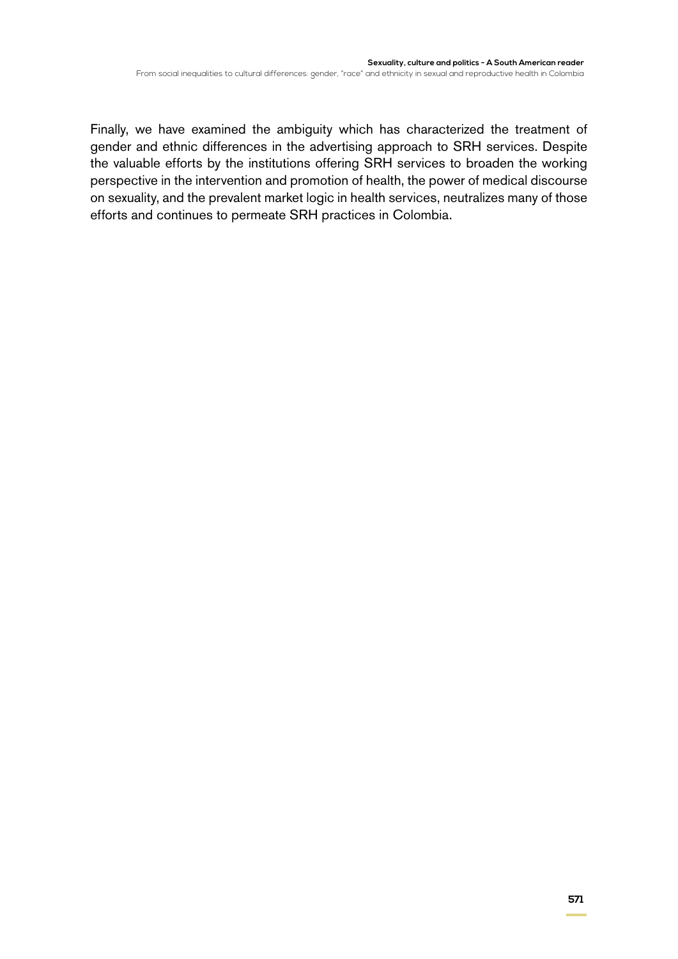Finally, we have examined the ambiguity which has characterized the treatment of gender and ethnic differences in the advertising approach to SRH services. Despite the valuable efforts by the institutions offering SRH services to broaden the working perspective in the intervention and promotion of health, the power of medical discourse on sexuality, and the prevalent market logic in health services, neutralizes many of those efforts and continues to permeate SRH practices in Colombia.